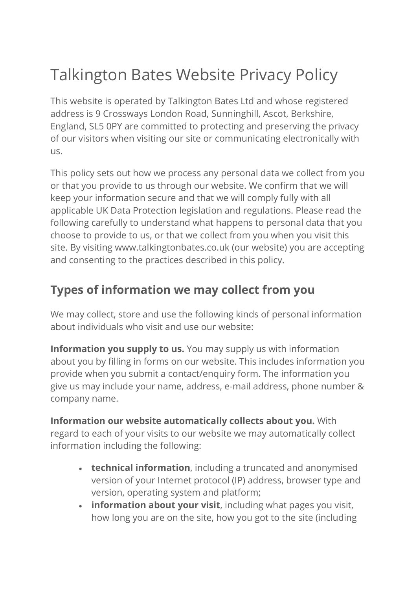# Talkington Bates Website Privacy Policy

This website is operated by Talkington Bates Ltd and whose registered address is 9 Crossways London Road, Sunninghill, Ascot, Berkshire, England, SL5 0PY are committed to protecting and preserving the privacy of our visitors when visiting our site or communicating electronically with us.

This policy sets out how we process any personal data we collect from you or that you provide to us through our website. We confirm that we will keep your information secure and that we will comply fully with all applicable UK Data Protection legislation and regulations. Please read the following carefully to understand what happens to personal data that you choose to provide to us, or that we collect from you when you visit this site. By visiting www.talkingtonbates.co.uk (our website) you are accepting and consenting to the practices described in this policy.

#### **Types of information we may collect from you**

We may collect, store and use the following kinds of personal information about individuals who visit and use our website:

**Information you supply to us.** You may supply us with information about you by filling in forms on our website. This includes information you provide when you submit a contact/enquiry form. The information you give us may include your name, address, e-mail address, phone number & company name.

**Information our website automatically collects about you.** With regard to each of your visits to our website we may automatically collect information including the following:

- **technical information**, including a truncated and anonymised version of your Internet protocol (IP) address, browser type and version, operating system and platform;
- **information about your visit**, including what pages you visit, how long you are on the site, how you got to the site (including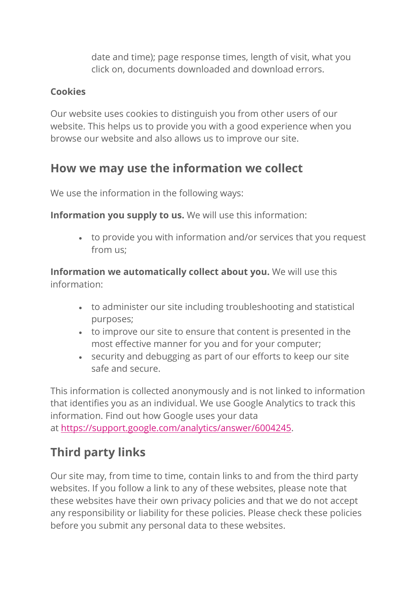date and time); page response times, length of visit, what you click on, documents downloaded and download errors.

#### **Cookies**

Our website uses cookies to distinguish you from other users of our website. This helps us to provide you with a good experience when you browse our website and also allows us to improve our site.

#### **How we may use the information we collect**

We use the information in the following ways:

**Information you supply to us.** We will use this information:

• to provide you with information and/or services that you request from us;

**Information we automatically collect about you.** We will use this information:

- to administer our site including troubleshooting and statistical purposes;
- to improve our site to ensure that content is presented in the most effective manner for you and for your computer;
- security and debugging as part of our efforts to keep our site safe and secure.

This information is collected anonymously and is not linked to information that identifies you as an individual. We use Google Analytics to track this information. Find out how Google uses your data at [https://support.google.com/analytics/answer/6004245.](https://support.google.com/analytics/answer/6004245)

#### **Third party links**

Our site may, from time to time, contain links to and from the third party websites. If you follow a link to any of these websites, please note that these websites have their own privacy policies and that we do not accept any responsibility or liability for these policies. Please check these policies before you submit any personal data to these websites.